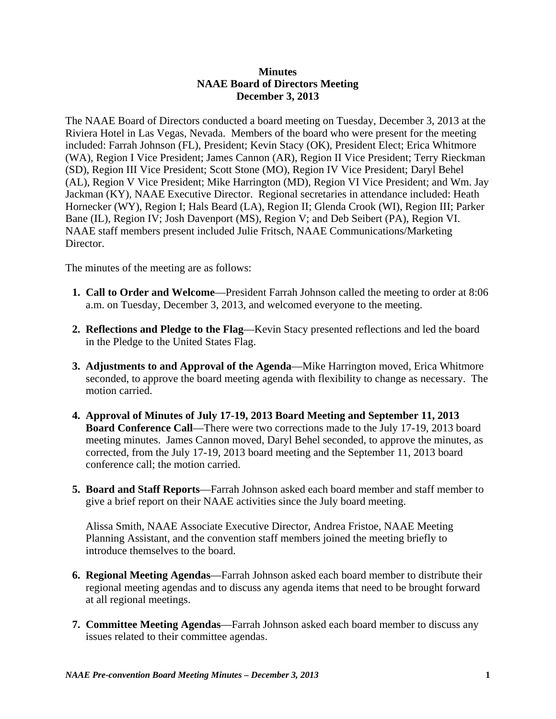## **Minutes NAAE Board of Directors Meeting December 3, 2013**

The NAAE Board of Directors conducted a board meeting on Tuesday, December 3, 2013 at the Riviera Hotel in Las Vegas, Nevada. Members of the board who were present for the meeting included: Farrah Johnson (FL), President; Kevin Stacy (OK), President Elect; Erica Whitmore (WA), Region I Vice President; James Cannon (AR), Region II Vice President; Terry Rieckman (SD), Region III Vice President; Scott Stone (MO), Region IV Vice President; Daryl Behel (AL), Region V Vice President; Mike Harrington (MD), Region VI Vice President; and Wm. Jay Jackman (KY), NAAE Executive Director. Regional secretaries in attendance included: Heath Hornecker (WY), Region I; Hals Beard (LA), Region II; Glenda Crook (WI), Region III; Parker Bane (IL), Region IV; Josh Davenport (MS), Region V; and Deb Seibert (PA), Region VI. NAAE staff members present included Julie Fritsch, NAAE Communications/Marketing Director.

The minutes of the meeting are as follows:

- **1. Call to Order and Welcome**—President Farrah Johnson called the meeting to order at 8:06 a.m. on Tuesday, December 3, 2013, and welcomed everyone to the meeting.
- **2. Reflections and Pledge to the Flag**—Kevin Stacy presented reflections and led the board in the Pledge to the United States Flag.
- **3. Adjustments to and Approval of the Agenda**—Mike Harrington moved, Erica Whitmore seconded, to approve the board meeting agenda with flexibility to change as necessary. The motion carried.
- **4. Approval of Minutes of July 17-19, 2013 Board Meeting and September 11, 2013 Board Conference Call**—There were two corrections made to the July 17-19, 2013 board meeting minutes. James Cannon moved, Daryl Behel seconded, to approve the minutes, as corrected, from the July 17-19, 2013 board meeting and the September 11, 2013 board conference call; the motion carried.
- **5. Board and Staff Reports**—Farrah Johnson asked each board member and staff member to give a brief report on their NAAE activities since the July board meeting.

 Alissa Smith, NAAE Associate Executive Director, Andrea Fristoe, NAAE Meeting Planning Assistant, and the convention staff members joined the meeting briefly to introduce themselves to the board.

- **6. Regional Meeting Agendas**—Farrah Johnson asked each board member to distribute their regional meeting agendas and to discuss any agenda items that need to be brought forward at all regional meetings.
- **7. Committee Meeting Agendas**—Farrah Johnson asked each board member to discuss any issues related to their committee agendas.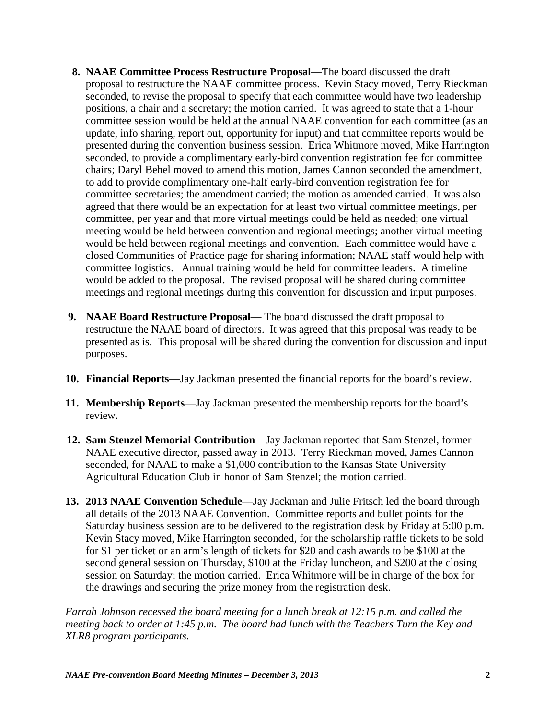- **8. NAAE Committee Process Restructure Proposal**—The board discussed the draft proposal to restructure the NAAE committee process. Kevin Stacy moved, Terry Rieckman seconded, to revise the proposal to specify that each committee would have two leadership positions, a chair and a secretary; the motion carried. It was agreed to state that a 1-hour committee session would be held at the annual NAAE convention for each committee (as an update, info sharing, report out, opportunity for input) and that committee reports would be presented during the convention business session. Erica Whitmore moved, Mike Harrington seconded, to provide a complimentary early-bird convention registration fee for committee chairs; Daryl Behel moved to amend this motion, James Cannon seconded the amendment, to add to provide complimentary one-half early-bird convention registration fee for committee secretaries; the amendment carried; the motion as amended carried. It was also agreed that there would be an expectation for at least two virtual committee meetings, per committee, per year and that more virtual meetings could be held as needed; one virtual meeting would be held between convention and regional meetings; another virtual meeting would be held between regional meetings and convention. Each committee would have a closed Communities of Practice page for sharing information; NAAE staff would help with committee logistics. Annual training would be held for committee leaders. A timeline would be added to the proposal. The revised proposal will be shared during committee meetings and regional meetings during this convention for discussion and input purposes.
- **9. NAAE Board Restructure Proposal** The board discussed the draft proposal to restructure the NAAE board of directors. It was agreed that this proposal was ready to be presented as is. This proposal will be shared during the convention for discussion and input purposes.
- **10. Financial Reports**—Jay Jackman presented the financial reports for the board's review.
- **11. Membership Reports**—Jay Jackman presented the membership reports for the board's review.
- **12. Sam Stenzel Memorial Contribution**—Jay Jackman reported that Sam Stenzel, former NAAE executive director, passed away in 2013. Terry Rieckman moved, James Cannon seconded, for NAAE to make a \$1,000 contribution to the Kansas State University Agricultural Education Club in honor of Sam Stenzel; the motion carried.
- **13. 2013 NAAE Convention Schedule**—Jay Jackman and Julie Fritsch led the board through all details of the 2013 NAAE Convention. Committee reports and bullet points for the Saturday business session are to be delivered to the registration desk by Friday at 5:00 p.m. Kevin Stacy moved, Mike Harrington seconded, for the scholarship raffle tickets to be sold for \$1 per ticket or an arm's length of tickets for \$20 and cash awards to be \$100 at the second general session on Thursday, \$100 at the Friday luncheon, and \$200 at the closing session on Saturday; the motion carried. Erica Whitmore will be in charge of the box for the drawings and securing the prize money from the registration desk.

*Farrah Johnson recessed the board meeting for a lunch break at 12:15 p.m. and called the meeting back to order at 1:45 p.m. The board had lunch with the Teachers Turn the Key and XLR8 program participants.*